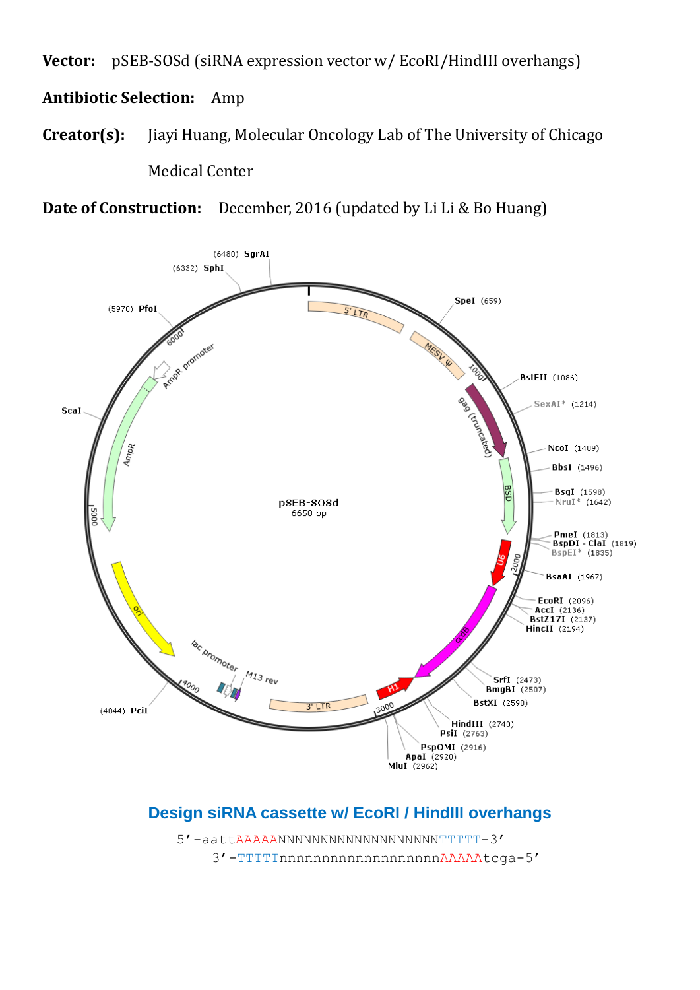**Vector:** pSEB-SOSd (siRNA expression vector w/ EcoRI/HindIII overhangs)

## **Antibiotic Selection:** Amp

**Creator(s):** Jiayi Huang, Molecular Oncology Lab of The University of Chicago Medical Center

**Date of Construction:** December, 2016 (updated by Li Li & Bo Huang)



## **Design siRNA cassette w/ EcoRI / HindIII overhangs**

 5'-aattAAAAANNNNNNNNNNNNNNNNNNNTTTTT-3' 3'-TTTTTnnnnnnnnnnnnnnnnnnnAAAAAtcga-5'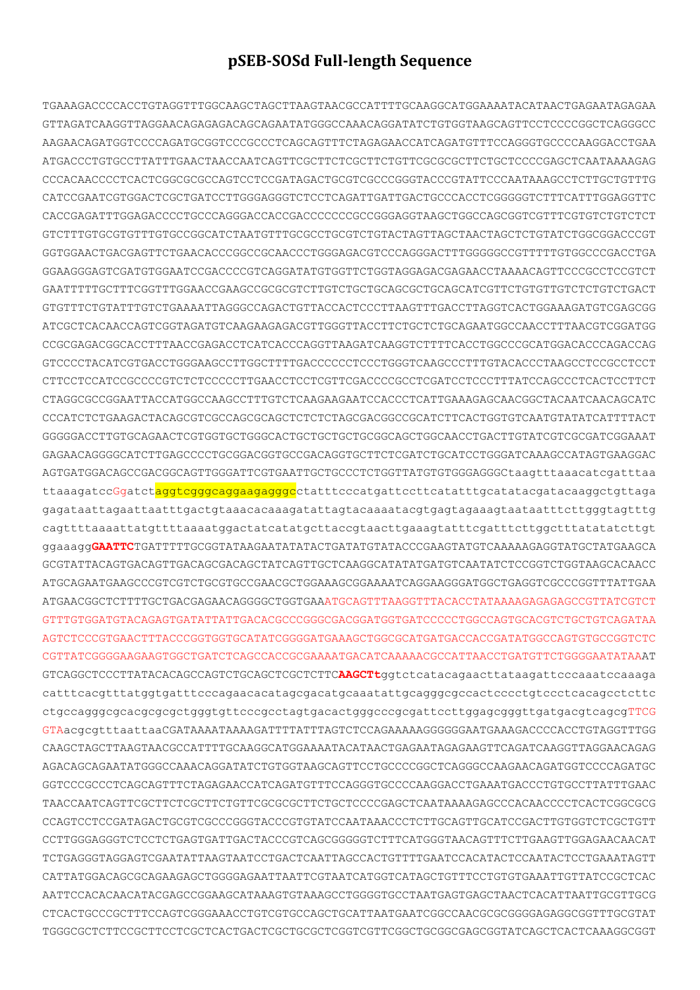## **pSEB-SOSd Full-length Sequence**

TGAAAGACCCCACCTGTAGGTTTGGCAAGCTAGCTTAAGTAACGCCATTTTGCAAGGCATGGAAAATACATAACTGAGAATAGAGAA GTTAGATCAAGGTTAGGAACAGAGAGACAGCAGAATATGGGCCAAACAGGATATCTGTGGTAAGCAGTTCCTCCCCGGCTCAGGGCC AAGAACAGATGGTCCCCAGATGCGGTCCCGCCCTCAGCAGTTTCTAGAGAACCATCAGATGTTTCCAGGGTGCCCCAAGGACCTGAA ATGACCCTGTGCCTTATTTGAACTAACCAATCAGTTCGCTTCTCGCTTCTGTTCGCGCGCTTCTGCTCCCCGAGCTCAATAAAAGAG CCCACAACCCCTCACTCGGCGCGCCAGTCCTCCGATAGACTGCGTCGCCCGGGTACCCGTATTCCCAATAAAGCCTCTTGCTGTTTG CATCCGAATCGTGGACTCGCTGATCCTTGGGAGGGTCTCCTCAGATTGATTGACTGCCCACCTCGGGGGTCTTTCATTTGGAGGTTC CACCGAGATTTGGAGACCCCTGCCCAGGGACCACCGACCCCCCCGCCGGGAGGTAAGCTGGCCAGCGGTCGTTTCGTGTCTGTCTCT GTCTTTGTGCGTGTTTGTGCCGGCATCTAATGTTTGCGCCTGCGTCTGTACTAGTTAGCTAACTAGCTCTGTATCTGGCGGACCCGT GGTGGAACTGACGAGTTCTGAACACCCGGCCGCAACCCTGGGAGACGTCCCAGGGACTTTGGGGGCCGTTTTTGTGGCCCGACCTGA GGAAGGGAGTCGATGTGGAATCCGACCCCGTCAGGATATGTGGTTCTGGTAGGAGACGAGAACCTAAAACAGTTCCCGCCTCCGTCT GAATTTTTGCTTTCGGTTTGGAACCGAAGCCGCGCGTCTTGTCTGCTGCAGCGCTGCAGCATCGTTCTGTGTTGTCTCTGTCTGACT GTGTTTCTGTATTTGTCTGAAAATTAGGGCCAGACTGTTACCACTCCCTTAAGTTTGACCTTAGGTCACTGGAAAGATGTCGAGCGG ATCGCTCACAACCAGTCGGTAGATGTCAAGAAGAGACGTTGGGTTACCTTCTGCTCTGCAGAATGGCCAACCTTTAACGTCGGATGG CCGCGAGACGGCACCTTTAACCGAGACCTCATCACCCAGGTTAAGATCAAGGTCTTTTCACCTGGCCCGCATGGACACCCAGACCAG GTCCCCTACATCGTGACCTGGGAAGCCTTGGCTTTTGACCCCCCTCCCTGGGTCAAGCCCTTTGTACACCCTAAGCCTCCGCCTCCT CTTCCTCCATCCGCCCCGTCTCTCCCCCTTGAACCTCCTCGTTCGACCCCGCCTCGATCCTCCCTTTATCCAGCCCTCACTCCTTCT CTAGGCGCCGGAATTACCATGGCCAAGCCTTTGTCTCAAGAAGAATCCACCCTCATTGAAAGAGCAACGGCTACAATCAACAGCATC CCCATCTCTGAAGACTACAGCGTCGCCAGCGCAGCTCTCTCTAGCGACGGCCGCATCTTCACTGGTGTCAATGTATATCATTTTACT GGGGGACCTTGTGCAGAACTCGTGGTGCTGGGCACTGCTGCTGCTGCGGCAGCTGGCAACCTGACTTGTATCGTCGCGATCGGAAAT GAGAACAGGGGCATCTTGAGCCCCTGCGGACGGTGCCGACAGGTGCTTCTCGATCTGCATCCTGGGATCAAAGCCATAGTGAAGGAC AGTGATGGACAGCCGACGGCAGTTGGGATTCGTGAATTGCTGCCCTCTGGTTATGTGTGGGAGGGCtaagtttaaacatcgatttaa ttaaagatccGgatctaggtcgggcaggaagagggctatttcccatgattccttcatatttgcatatacgatacaaggctgttaga gagataattagaattaatttgactgtaaacacaaagatattagtacaaaatacgtgagtagaaagtaataatttcttgggtagtttg cagttttaaaattatgttttaaaatggactatcatatgcttaccgtaacttgaaagtatttcgatttcttggctttatatatcttgt ggaaagg**GAATTC**TGATTTTTGCGGTATAAGAATATATACTGATATGTATACCCGAAGTATGTCAAAAAGAGGTATGCTATGAAGCA GCGTATTACAGTGACAGTTGACAGCGACAGCTATCAGTTGCTCAAGGCATATATGATGTCAATATCTCCGGTCTGGTAAGCACAACC ATGCAGAATGAAGCCCGTCGTCTGCGTGCCGAACGCTGGAAAGCGGAAAATCAGGAAGGGATGGCTGAGGTCGCCCGGTTTATTGAA ATGAACGGCTCTTTTGCTGACGAGAACAGGGGCTGGTGAAATGCAGTTTAAGGTTTACACCTATAAAAGAGAGAGCCGTTATCGTCT GTTTGTGGATGTACAGAGTGATATTATTGACACGCCCGGGCGACGGATGGTGATCCCCCTGGCCAGTGCACGTCTGCTGTCAGATAA AGTCTCCCGTGAACTTTACCCGGTGGTGCATATCGGGGATGAAAGCTGGCGCATGATGACCACCGATATGGCCAGTGTGCCGGTCTC CGTTATCGGGGAAGAAGTGGCTGATCTCAGCCACCGCGAAAATGACATCAAAAACGCCATTAACCTGATGTTCTGGGGAATATAAAT GTCAGGCTCCCTTATACACAGCCAGTCTGCAGCTCGCTCTTC**AAGCTt**ggtctcatacagaacttataagattcccaaatccaaaga catttcacgtttatggtgatttcccagaacacatagcgacatgcaaatattgcagggcgccactcccctgtccctcacagcctcttc ctgccagggcgcacgcgcgctgggtgttcccgcctagtgacactgggcccgcgattccttggagcgggttgatgacgtcagcgTTCG GTAacgcgtttaattaaCGATAAAATAAAAGATTTTATTTAGTCTCCAGAAAAAGGGGGGAATGAAAGACCCCACCTGTAGGTTTGG CAAGCTAGCTTAAGTAACGCCATTTTGCAAGGCATGGAAAATACATAACTGAGAATAGAGAAGTTCAGATCAAGGTTAGGAACAGAG AGACAGCAGAATATGGGCCAAACAGGATATCTGTGGTAAGCAGTTCCTGCCCCGGCTCAGGGCCAAGAACAGATGGTCCCCAGATGC GGTCCCGCCCTCAGCAGTTTCTAGAGAACCATCAGATGTTTCCAGGGTGCCCCAAGGACCTGAAATGACCCTGTGCCTTATTTGAAC TAACCAATCAGTTCGCTTCTCGCTTCTGTTCGCGCGCTTCTGCTCCCCGAGCTCAATAAAAGAGCCCACAACCCCTCACTCGGCGCG CCAGTCCTCCGATAGACTGCGTCGCCCGGGTACCCGTGTATCCAATAAACCCTCTTGCAGTTGCATCCGACTTGTGGTCTCGCTGTT CCTTGGGAGGGTCTCCTCTGAGTGATTGACTACCCGTCAGCGGGGGTCTTTCATGGGTAACAGTTTCTTGAAGTTGGAGAACAACAT TCTGAGGGTAGGAGTCGAATATTAAGTAATCCTGACTCAATTAGCCACTGTTTTGAATCCACATACTCCAATACTCCTGAAATAGTT CATTATGGACAGCGCAGAAGAGCTGGGGAGAATTAATTCGTAATCATGGTCATAGCTGTTTCCTGTGTGAAATTGTTATCCGCTCAC AATTCCACACAACATACGAGCCGGAAGCATAAAGTGTAAAGCCTGGGGTGCCTAATGAGTGAGCTAACTCACATTAATTGCGTTGCG CTCACTGCCCGCTTTCCAGTCGGGAAACCTGTCGTGCCAGCTGCATTAATGAATCGGCCAACGCGCGGGGAGAGGCGGTTTGCGTAT TGGGCGCTCTTCCGCTTCCTCGCTCACTGACTCGCTGCGCTCGGTCGTTCGGCTGCGGCGAGCGGTATCAGCTCACTCAAAGGCGGT